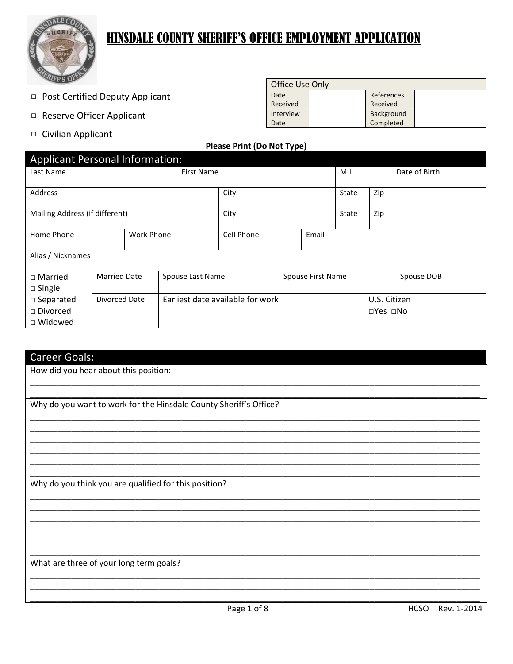

# **HINSDALE COUNTY SHERIFF'S OFFICE EMPLOYMENT APPLICATION**

□ Post Certified Deputy Applicant

 $\mathbf{r}$ 

- □ Reserve Officer Applicant
- □ Civilian Applicant

**College** 

 $\mathbf{r}$ 

| <b>Office Use Only</b> |            |  |
|------------------------|------------|--|
| Date                   | References |  |
| Received               | Received   |  |
| Interview              | Background |  |
| Date                   | Completed  |  |

### **Please Print (Do Not Type)**

| Applicant Personal Information: |                     |  |                   |                                  |  |       |              |                            |               |
|---------------------------------|---------------------|--|-------------------|----------------------------------|--|-------|--------------|----------------------------|---------------|
| Last Name                       |                     |  | <b>First Name</b> |                                  |  |       | M.I.         |                            | Date of Birth |
| Address                         |                     |  | City              |                                  |  | State | Zip          |                            |               |
| Mailing Address (if different)  |                     |  | City              |                                  |  | State | Zip          |                            |               |
| Home Phone                      | <b>Work Phone</b>   |  |                   | Cell Phone<br>Email              |  |       |              |                            |               |
| Alias / Nicknames               |                     |  |                   |                                  |  |       |              |                            |               |
| $\Box$ Married                  | <b>Married Date</b> |  | Spouse Last Name  | Spouse First Name                |  |       |              |                            | Spouse DOB    |
| $\Box$ Single                   |                     |  |                   |                                  |  |       |              |                            |               |
| $\square$ Separated             | Divorced Date       |  |                   | Earliest date available for work |  |       | U.S. Citizen |                            |               |
| $\Box$ Divorced                 |                     |  |                   |                                  |  |       |              | $\square$ Yes $\square$ No |               |
| $\Box$ Widowed                  |                     |  |                   |                                  |  |       |              |                            |               |

| <b>Career Goals:</b>                                              |
|-------------------------------------------------------------------|
| How did you hear about this position:                             |
|                                                                   |
| Why do you want to work for the Hinsdale County Sheriff's Office? |
|                                                                   |
|                                                                   |
|                                                                   |
|                                                                   |
| Why do you think you are qualified for this position?             |
|                                                                   |
|                                                                   |
|                                                                   |
|                                                                   |
| What are three of your long term goals?                           |
|                                                                   |
|                                                                   |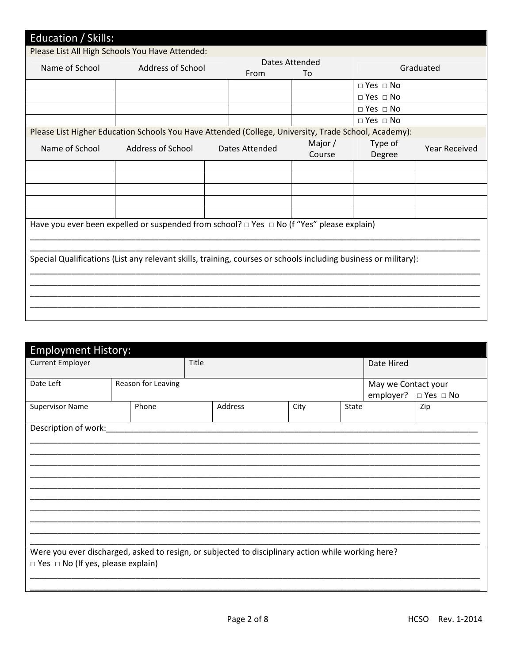| <b>Education / Skills:</b> |                                                                                                                 |                |                      |                      |                      |
|----------------------------|-----------------------------------------------------------------------------------------------------------------|----------------|----------------------|----------------------|----------------------|
|                            | Please List All High Schools You Have Attended:                                                                 |                |                      |                      |                      |
| Name of School             | <b>Address of School</b>                                                                                        | From           | Dates Attended<br>To |                      | Graduated            |
|                            |                                                                                                                 |                |                      | $\Box$ Yes $\Box$ No |                      |
|                            |                                                                                                                 |                |                      | $\Box$ Yes $\Box$ No |                      |
|                            |                                                                                                                 |                |                      | $\Box$ Yes $\Box$ No |                      |
|                            |                                                                                                                 |                |                      | $\Box$ Yes $\Box$ No |                      |
|                            | Please List Higher Education Schools You Have Attended (College, University, Trade School, Academy):            |                |                      |                      |                      |
| Name of School             | <b>Address of School</b>                                                                                        | Dates Attended | Major /<br>Course    | Type of<br>Degree    | <b>Year Received</b> |
|                            |                                                                                                                 |                |                      |                      |                      |
|                            |                                                                                                                 |                |                      |                      |                      |
|                            |                                                                                                                 |                |                      |                      |                      |
|                            |                                                                                                                 |                |                      |                      |                      |
|                            |                                                                                                                 |                |                      |                      |                      |
|                            | Have you ever been expelled or suspended from school? $\Box$ Yes $\Box$ No (f "Yes" please explain)             |                |                      |                      |                      |
|                            | Special Qualifications (List any relevant skills, training, courses or schools including business or military): |                |                      |                      |                      |
|                            |                                                                                                                 |                |                      |                      |                      |
|                            |                                                                                                                 |                |                      |                      |                      |
|                            |                                                                                                                 |                |                      |                      |                      |
|                            |                                                                                                                 |                |                      |                      |                      |
|                            |                                                                                                                 |                |                      |                      |                      |

| <b>Employment History:</b>                                                                         |                    |  |         |      |       |                                  |                      |  |
|----------------------------------------------------------------------------------------------------|--------------------|--|---------|------|-------|----------------------------------|----------------------|--|
| <b>Current Employer</b>                                                                            |                    |  | Title   |      |       | Date Hired                       |                      |  |
| Date Left                                                                                          | Reason for Leaving |  |         |      |       | May we Contact your<br>employer? | $\Box$ Yes $\Box$ No |  |
| <b>Supervisor Name</b>                                                                             | Phone              |  | Address | City | State |                                  | Zip                  |  |
| Description of work:                                                                               |                    |  |         |      |       |                                  |                      |  |
|                                                                                                    |                    |  |         |      |       |                                  |                      |  |
|                                                                                                    |                    |  |         |      |       |                                  |                      |  |
|                                                                                                    |                    |  |         |      |       |                                  |                      |  |
|                                                                                                    |                    |  |         |      |       |                                  |                      |  |
|                                                                                                    |                    |  |         |      |       |                                  |                      |  |
| Were you ever discharged, asked to resign, or subjected to disciplinary action while working here? |                    |  |         |      |       |                                  |                      |  |
| $\Box$ Yes $\Box$ No (If yes, please explain)                                                      |                    |  |         |      |       |                                  |                      |  |
|                                                                                                    |                    |  |         |      |       |                                  |                      |  |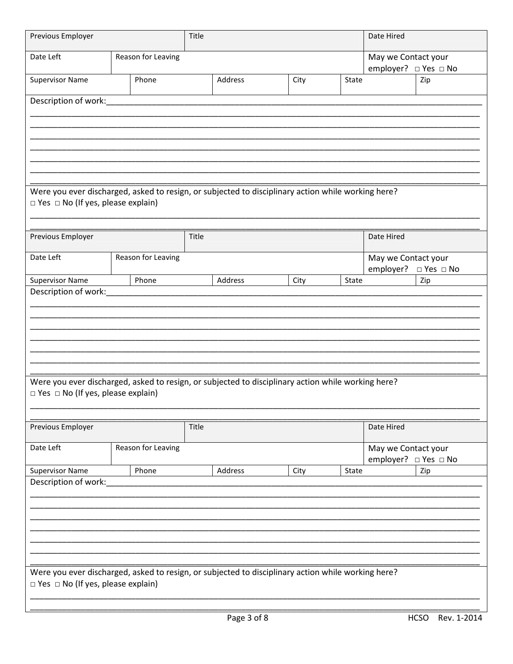| Previous Employer                                                                                                                                   |  |                    |       | Title   |      |       |                                             | Date Hired |  |  |
|-----------------------------------------------------------------------------------------------------------------------------------------------------|--|--------------------|-------|---------|------|-------|---------------------------------------------|------------|--|--|
| Date Left                                                                                                                                           |  | Reason for Leaving |       |         |      |       | May we Contact your<br>employer? □ Yes □ No |            |  |  |
| <b>Supervisor Name</b>                                                                                                                              |  | Phone              |       | Address | City | State |                                             | Zip        |  |  |
| Description of work:                                                                                                                                |  |                    |       |         |      |       |                                             |            |  |  |
|                                                                                                                                                     |  |                    |       |         |      |       |                                             |            |  |  |
|                                                                                                                                                     |  |                    |       |         |      |       |                                             |            |  |  |
|                                                                                                                                                     |  |                    |       |         |      |       |                                             |            |  |  |
| Were you ever discharged, asked to resign, or subjected to disciplinary action while working here?                                                  |  |                    |       |         |      |       |                                             |            |  |  |
| $\Box$ Yes $\Box$ No (If yes, please explain)                                                                                                       |  |                    |       |         |      |       |                                             |            |  |  |
|                                                                                                                                                     |  |                    |       |         |      |       |                                             |            |  |  |
| Previous Employer                                                                                                                                   |  |                    | Title |         |      |       | Date Hired                                  |            |  |  |
| Date Left                                                                                                                                           |  | Reason for Leaving |       |         |      |       | May we Contact your<br>employer? □ Yes □ No |            |  |  |
| <b>Supervisor Name</b><br>Description of work:                                                                                                      |  | Phone              |       | Address | City | State |                                             | Zip        |  |  |
|                                                                                                                                                     |  |                    |       |         |      |       |                                             |            |  |  |
|                                                                                                                                                     |  |                    |       |         |      |       |                                             |            |  |  |
|                                                                                                                                                     |  |                    |       |         |      |       |                                             |            |  |  |
|                                                                                                                                                     |  |                    |       |         |      |       |                                             |            |  |  |
| Were you ever discharged, asked to resign, or subjected to disciplinary action while working here?<br>$\Box$ Yes $\Box$ No (If yes, please explain) |  |                    |       |         |      |       |                                             |            |  |  |
|                                                                                                                                                     |  |                    |       |         |      |       |                                             |            |  |  |
| Previous Employer                                                                                                                                   |  |                    | Title |         |      |       | Date Hired                                  |            |  |  |
| Date Left                                                                                                                                           |  | Reason for Leaving |       |         |      |       | May we Contact your                         |            |  |  |
| <b>Supervisor Name</b>                                                                                                                              |  | Phone              |       | Address | City | State | employer? □ Yes □ No<br>Zip                 |            |  |  |
| Description of work:                                                                                                                                |  |                    |       |         |      |       |                                             |            |  |  |
|                                                                                                                                                     |  |                    |       |         |      |       |                                             |            |  |  |
|                                                                                                                                                     |  |                    |       |         |      |       |                                             |            |  |  |
|                                                                                                                                                     |  |                    |       |         |      |       |                                             |            |  |  |
| Were you ever discharged, asked to resign, or subjected to disciplinary action while working here?                                                  |  |                    |       |         |      |       |                                             |            |  |  |
| $\Box$ Yes $\Box$ No (If yes, please explain)                                                                                                       |  |                    |       |         |      |       |                                             |            |  |  |
|                                                                                                                                                     |  |                    |       |         |      |       |                                             |            |  |  |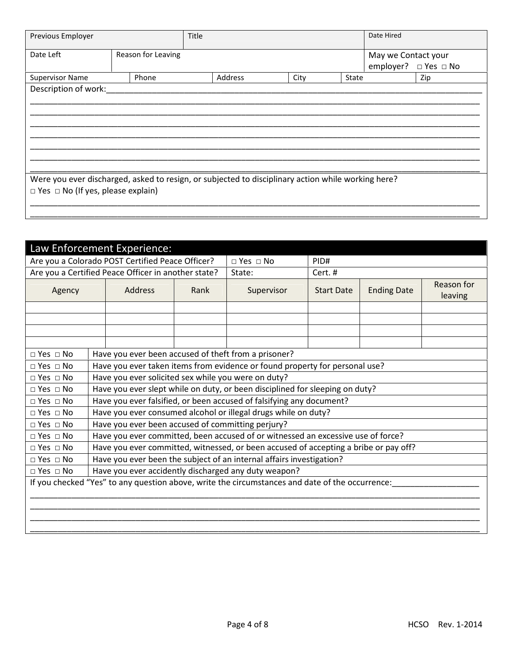| Previous Employer                                                                                                                                   |                    | Title |         |      |       | Date Hired          |                      |
|-----------------------------------------------------------------------------------------------------------------------------------------------------|--------------------|-------|---------|------|-------|---------------------|----------------------|
| Date Left                                                                                                                                           | Reason for Leaving |       |         |      |       | May we Contact your | employer? □ Yes □ No |
| <b>Supervisor Name</b>                                                                                                                              | Phone              |       | Address | City | State |                     | Zip                  |
| Description of work:                                                                                                                                |                    |       |         |      |       |                     |                      |
| Were you ever discharged, asked to resign, or subjected to disciplinary action while working here?<br>$\Box$ Yes $\Box$ No (If yes, please explain) |                    |       |         |      |       |                     |                      |

|                      |                                                                                 | Law Enforcement Experience:                         |  |                                                                                                 |         |  |                       |
|----------------------|---------------------------------------------------------------------------------|-----------------------------------------------------|--|-------------------------------------------------------------------------------------------------|---------|--|-----------------------|
|                      |                                                                                 | Are you a Colorado POST Certified Peace Officer?    |  | $\Box$ Yes $\Box$ No                                                                            | PID#    |  |                       |
|                      |                                                                                 | Are you a Certified Peace Officer in another state? |  | State:                                                                                          | Cert. # |  |                       |
| Agency               | <b>Address</b><br><b>Ending Date</b><br>Rank<br><b>Start Date</b><br>Supervisor |                                                     |  |                                                                                                 |         |  | Reason for<br>leaving |
|                      |                                                                                 |                                                     |  |                                                                                                 |         |  |                       |
|                      |                                                                                 |                                                     |  |                                                                                                 |         |  |                       |
|                      |                                                                                 |                                                     |  |                                                                                                 |         |  |                       |
| $\Box$ Yes $\Box$ No |                                                                                 |                                                     |  | Have you ever been accused of theft from a prisoner?                                            |         |  |                       |
| $\Box$ Yes $\Box$ No |                                                                                 |                                                     |  | Have you ever taken items from evidence or found property for personal use?                     |         |  |                       |
| $\Box$ Yes $\Box$ No |                                                                                 | Have you ever solicited sex while you were on duty? |  |                                                                                                 |         |  |                       |
| $\Box$ Yes $\Box$ No |                                                                                 |                                                     |  | Have you ever slept while on duty, or been disciplined for sleeping on duty?                    |         |  |                       |
| $\Box$ Yes $\Box$ No |                                                                                 |                                                     |  | Have you ever falsified, or been accused of falsifying any document?                            |         |  |                       |
| $\Box$ Yes $\Box$ No |                                                                                 |                                                     |  | Have you ever consumed alcohol or illegal drugs while on duty?                                  |         |  |                       |
| $\Box$ Yes $\Box$ No |                                                                                 | Have you ever been accused of committing perjury?   |  |                                                                                                 |         |  |                       |
| $\Box$ Yes $\Box$ No |                                                                                 |                                                     |  | Have you ever committed, been accused of or witnessed an excessive use of force?                |         |  |                       |
| $\Box$ Yes $\Box$ No |                                                                                 |                                                     |  | Have you ever committed, witnessed, or been accused of accepting a bribe or pay off?            |         |  |                       |
| $\Box$ Yes $\Box$ No |                                                                                 |                                                     |  | Have you ever been the subject of an internal affairs investigation?                            |         |  |                       |
| $\Box$ Yes $\Box$ No |                                                                                 |                                                     |  | Have you ever accidently discharged any duty weapon?                                            |         |  |                       |
|                      |                                                                                 |                                                     |  | If you checked "Yes" to any question above, write the circumstances and date of the occurrence: |         |  |                       |
|                      |                                                                                 |                                                     |  |                                                                                                 |         |  |                       |
|                      |                                                                                 |                                                     |  |                                                                                                 |         |  |                       |
|                      |                                                                                 |                                                     |  |                                                                                                 |         |  |                       |
|                      |                                                                                 |                                                     |  |                                                                                                 |         |  |                       |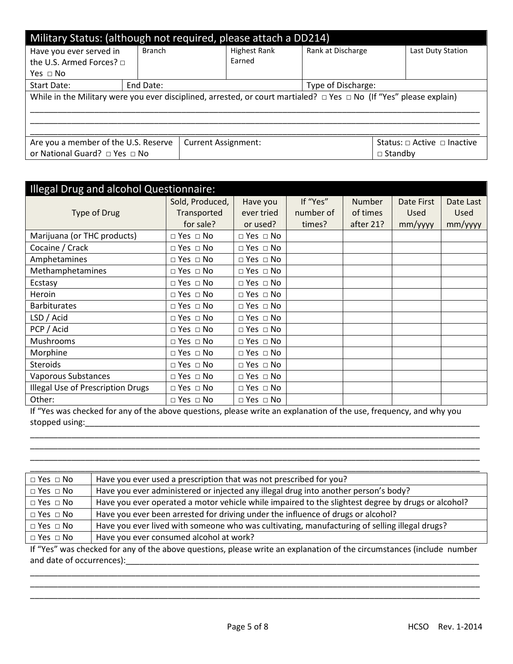| Military Status: (although not required, please attach a DD214) |                                                                                                                               |                    |                     |                   |                                       |                   |  |  |
|-----------------------------------------------------------------|-------------------------------------------------------------------------------------------------------------------------------|--------------------|---------------------|-------------------|---------------------------------------|-------------------|--|--|
| Have you ever served in                                         | <b>Branch</b>                                                                                                                 |                    | <b>Highest Rank</b> | Rank at Discharge |                                       | Last Duty Station |  |  |
| the U.S. Armed Forces? $\Box$                                   |                                                                                                                               |                    | Earned              |                   |                                       |                   |  |  |
| Yes ⊓ No                                                        |                                                                                                                               |                    |                     |                   |                                       |                   |  |  |
| Start Date:                                                     | End Date:                                                                                                                     | Type of Discharge: |                     |                   |                                       |                   |  |  |
|                                                                 | While in the Military were you ever disciplined, arrested, or court martialed? $\Box$ Yes $\Box$ No (If "Yes" please explain) |                    |                     |                   |                                       |                   |  |  |
|                                                                 |                                                                                                                               |                    |                     |                   |                                       |                   |  |  |
| Are you a member of the U.S. Reserve                            | <b>Current Assignment:</b>                                                                                                    |                    |                     |                   | Status: $\Box$ Active $\Box$ Inactive |                   |  |  |
|                                                                 | or National Guard? □ Yes □ No<br>$\Box$ Standby                                                                               |                    |                     |                   |                                       |                   |  |  |

| <b>Illegal Drug and alcohol Questionnaire:</b> |                      |                      |           |               |             |             |  |  |
|------------------------------------------------|----------------------|----------------------|-----------|---------------|-------------|-------------|--|--|
|                                                | Sold, Produced,      | Have you             | If "Yes"  | <b>Number</b> | Date First  | Date Last   |  |  |
| Type of Drug                                   | Transported          | ever tried           | number of | of times      | <b>Used</b> | <b>Used</b> |  |  |
|                                                | for sale?            | or used?             | times?    | after 21?     | $mm/$ yyyy  | mm/yyyy     |  |  |
| Marijuana (or THC products)                    | $\Box$ Yes $\Box$ No | $\Box$ Yes $\Box$ No |           |               |             |             |  |  |
| Cocaine / Crack                                | $\Box$ Yes $\Box$ No | $\Box$ Yes $\Box$ No |           |               |             |             |  |  |
| Amphetamines                                   | $\Box$ Yes $\Box$ No | $\Box$ Yes $\Box$ No |           |               |             |             |  |  |
| Methamphetamines                               | $\Box$ Yes $\Box$ No | $\Box$ Yes $\Box$ No |           |               |             |             |  |  |
| Ecstasy                                        | $\Box$ Yes $\Box$ No | $\Box$ Yes $\Box$ No |           |               |             |             |  |  |
| Heroin                                         | $\Box$ Yes $\Box$ No | $\Box$ Yes $\Box$ No |           |               |             |             |  |  |
| <b>Barbiturates</b>                            | $\Box$ Yes $\Box$ No | $\Box$ Yes $\Box$ No |           |               |             |             |  |  |
| LSD / Acid                                     | $\Box$ Yes $\Box$ No | $\Box$ Yes $\Box$ No |           |               |             |             |  |  |
| PCP / Acid                                     | $\Box$ Yes $\Box$ No | $\Box$ Yes $\Box$ No |           |               |             |             |  |  |
| Mushrooms                                      | $\Box$ Yes $\Box$ No | $\Box$ Yes $\Box$ No |           |               |             |             |  |  |
| Morphine                                       | $\Box$ Yes $\Box$ No | $\Box$ Yes $\Box$ No |           |               |             |             |  |  |
| <b>Steroids</b>                                | $\Box$ Yes $\Box$ No | $\Box$ Yes $\Box$ No |           |               |             |             |  |  |
| Vaporous Substances                            | $\Box$ Yes $\Box$ No | $\Box$ Yes $\Box$ No |           |               |             |             |  |  |
| <b>Illegal Use of Prescription Drugs</b>       | $\Box$ Yes $\Box$ No | $\Box$ Yes $\Box$ No |           |               |             |             |  |  |
| Other:                                         | $\Box$ Yes $\Box$ No | $\Box$ Yes $\Box$ No |           |               |             |             |  |  |

If "Yes was checked for any of the above questions, please write an explanation of the use, frequency, and why you stopped using:\_\_\_\_\_\_\_\_\_\_\_\_\_\_\_\_\_\_\_\_\_\_\_\_\_\_\_\_\_\_\_\_\_\_\_\_\_\_\_\_\_\_\_\_\_\_\_\_\_\_\_\_\_\_\_\_\_\_\_\_\_\_\_\_\_\_\_\_\_\_\_\_\_\_\_\_\_\_\_\_\_\_\_\_\_\_

\_\_\_\_\_\_\_\_\_\_\_\_\_\_\_\_\_\_\_\_\_\_\_\_\_\_\_\_\_\_\_\_\_\_\_\_\_\_\_\_\_\_\_\_\_\_\_\_\_\_\_\_\_\_\_\_\_\_\_\_\_\_\_\_\_\_\_\_\_\_\_\_\_\_\_\_\_\_\_\_\_\_\_\_\_\_\_\_\_\_\_\_\_\_\_\_\_\_ \_\_\_\_\_\_\_\_\_\_\_\_\_\_\_\_\_\_\_\_\_\_\_\_\_\_\_\_\_\_\_\_\_\_\_\_\_\_\_\_\_\_\_\_\_\_\_\_\_\_\_\_\_\_\_\_\_\_\_\_\_\_\_\_\_\_\_\_\_\_\_\_\_\_\_\_\_\_\_\_\_\_\_\_\_\_\_\_\_\_\_\_\_\_\_\_\_\_ \_\_\_\_\_\_\_\_\_\_\_\_\_\_\_\_\_\_\_\_\_\_\_\_\_\_\_\_\_\_\_\_\_\_\_\_\_\_\_\_\_\_\_\_\_\_\_\_\_\_\_\_\_\_\_\_\_\_\_\_\_\_\_\_\_\_\_\_\_\_\_\_\_\_\_\_\_\_\_\_\_\_\_\_\_\_\_\_\_\_\_\_\_\_\_\_\_\_

| $\Box$ Yes $\Box$ No | Have you ever used a prescription that was not prescribed for you?                                 |
|----------------------|----------------------------------------------------------------------------------------------------|
| $\Box$ Yes $\Box$ No | Have you ever administered or injected any illegal drug into another person's body?                |
| $\Box$ Yes $\Box$ No | Have you ever operated a motor vehicle while impaired to the slightest degree by drugs or alcohol? |
| $\Box$ Yes $\Box$ No | Have you ever been arrested for driving under the influence of drugs or alcohol?                   |
| $\Box$ Yes $\Box$ No | Have you ever lived with someone who was cultivating, manufacturing of selling illegal drugs?      |
| $\Box$ Yes $\Box$ No | Have you ever consumed alcohol at work?                                                            |

If "Yes" was checked for any of the above questions, please write an explanation of the circumstances (include number and date of occurrences):\_\_\_\_\_\_\_\_\_\_\_\_\_\_\_\_\_\_\_\_\_\_\_\_\_\_\_\_\_\_\_\_\_\_\_\_\_\_\_\_\_\_\_\_\_\_\_\_\_\_\_\_\_\_\_\_\_\_\_\_\_\_\_\_\_\_\_\_\_\_\_\_\_\_\_\_\_

\_\_\_\_\_\_\_\_\_\_\_\_\_\_\_\_\_\_\_\_\_\_\_\_\_\_\_\_\_\_\_\_\_\_\_\_\_\_\_\_\_\_\_\_\_\_\_\_\_\_\_\_\_\_\_\_\_\_\_\_\_\_\_\_\_\_\_\_\_\_\_\_\_\_\_\_\_\_\_\_\_\_\_\_\_\_\_\_\_\_\_\_\_\_\_\_\_\_ \_\_\_\_\_\_\_\_\_\_\_\_\_\_\_\_\_\_\_\_\_\_\_\_\_\_\_\_\_\_\_\_\_\_\_\_\_\_\_\_\_\_\_\_\_\_\_\_\_\_\_\_\_\_\_\_\_\_\_\_\_\_\_\_\_\_\_\_\_\_\_\_\_\_\_\_\_\_\_\_\_\_\_\_\_\_\_\_\_\_\_\_\_\_\_\_\_\_ \_\_\_\_\_\_\_\_\_\_\_\_\_\_\_\_\_\_\_\_\_\_\_\_\_\_\_\_\_\_\_\_\_\_\_\_\_\_\_\_\_\_\_\_\_\_\_\_\_\_\_\_\_\_\_\_\_\_\_\_\_\_\_\_\_\_\_\_\_\_\_\_\_\_\_\_\_\_\_\_\_\_\_\_\_\_\_\_\_\_\_\_\_\_\_\_\_\_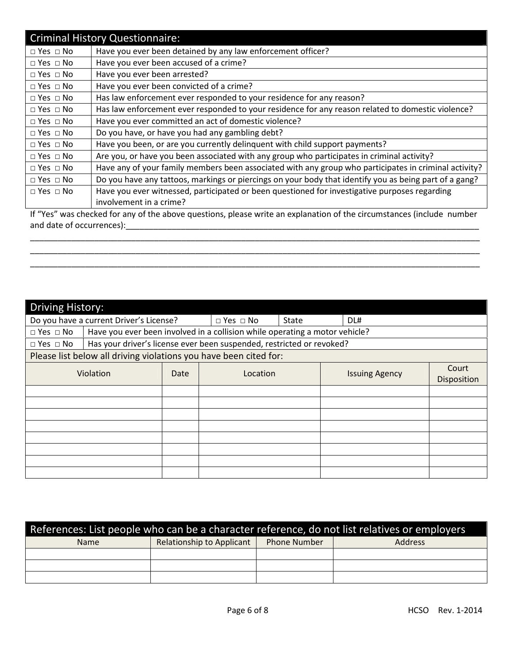|                      | <b>Criminal History Questionnaire:</b>                                                                                |
|----------------------|-----------------------------------------------------------------------------------------------------------------------|
| $\Box$ Yes $\Box$ No | Have you ever been detained by any law enforcement officer?                                                           |
| $\Box$ Yes $\Box$ No | Have you ever been accused of a crime?                                                                                |
| $\Box$ Yes $\Box$ No | Have you ever been arrested?                                                                                          |
| $\Box$ Yes $\Box$ No | Have you ever been convicted of a crime?                                                                              |
| $\Box$ Yes $\Box$ No | Has law enforcement ever responded to your residence for any reason?                                                  |
| $\Box$ Yes $\Box$ No | Has law enforcement ever responded to your residence for any reason related to domestic violence?                     |
| $\Box$ Yes $\Box$ No | Have you ever committed an act of domestic violence?                                                                  |
| $\Box$ Yes $\Box$ No | Do you have, or have you had any gambling debt?                                                                       |
| $\Box$ Yes $\Box$ No | Have you been, or are you currently delinguent with child support payments?                                           |
| $\Box$ Yes $\Box$ No | Are you, or have you been associated with any group who participates in criminal activity?                            |
| $\Box$ Yes $\Box$ No | Have any of your family members been associated with any group who participates in criminal activity?                 |
| $\Box$ Yes $\Box$ No | Do you have any tattoos, markings or piercings on your body that identify you as being part of a gang?                |
| $\Box$ Yes $\Box$ No | Have you ever witnessed, participated or been questioned for investigative purposes regarding                         |
|                      | involvement in a crime?                                                                                               |
|                      | If "Yes" was checked for any of the above questions, please write an explanation of the circumstances (include number |

and date of occurrences):\_\_\_\_\_\_\_\_\_\_\_\_\_\_\_\_\_\_\_\_\_\_\_\_\_\_\_\_\_\_\_\_\_\_\_\_\_\_\_\_\_\_\_\_\_\_\_\_\_\_\_\_\_\_\_\_\_\_\_\_\_\_\_\_\_\_\_\_\_\_\_\_\_\_\_\_\_

\_\_\_\_\_\_\_\_\_\_\_\_\_\_\_\_\_\_\_\_\_\_\_\_\_\_\_\_\_\_\_\_\_\_\_\_\_\_\_\_\_\_\_\_\_\_\_\_\_\_\_\_\_\_\_\_\_\_\_\_\_\_\_\_\_\_\_\_\_\_\_\_\_\_\_\_\_\_\_\_\_\_\_\_\_\_\_\_\_\_\_\_\_\_\_\_\_\_ \_\_\_\_\_\_\_\_\_\_\_\_\_\_\_\_\_\_\_\_\_\_\_\_\_\_\_\_\_\_\_\_\_\_\_\_\_\_\_\_\_\_\_\_\_\_\_\_\_\_\_\_\_\_\_\_\_\_\_\_\_\_\_\_\_\_\_\_\_\_\_\_\_\_\_\_\_\_\_\_\_\_\_\_\_\_\_\_\_\_\_\_\_\_\_\_\_\_ \_\_\_\_\_\_\_\_\_\_\_\_\_\_\_\_\_\_\_\_\_\_\_\_\_\_\_\_\_\_\_\_\_\_\_\_\_\_\_\_\_\_\_\_\_\_\_\_\_\_\_\_\_\_\_\_\_\_\_\_\_\_\_\_\_\_\_\_\_\_\_\_\_\_\_\_\_\_\_\_\_\_\_\_\_\_\_\_\_\_\_\_\_\_\_\_\_\_

| Driving History:                                                  |                                                                             |      |                      |       |                       |  |                      |
|-------------------------------------------------------------------|-----------------------------------------------------------------------------|------|----------------------|-------|-----------------------|--|----------------------|
| Do you have a current Driver's License?                           |                                                                             |      | $\Box$ Yes $\Box$ No | State | DL#                   |  |                      |
| $\Box$ Yes $\Box$ No                                              | Have you ever been involved in a collision while operating a motor vehicle? |      |                      |       |                       |  |                      |
| $\Box$ Yes $\Box$ No                                              | Has your driver's license ever been suspended, restricted or revoked?       |      |                      |       |                       |  |                      |
| Please list below all driving violations you have been cited for: |                                                                             |      |                      |       |                       |  |                      |
| Violation                                                         |                                                                             | Date | Location             |       | <b>Issuing Agency</b> |  | Court<br>Disposition |
|                                                                   |                                                                             |      |                      |       |                       |  |                      |
|                                                                   |                                                                             |      |                      |       |                       |  |                      |
|                                                                   |                                                                             |      |                      |       |                       |  |                      |
|                                                                   |                                                                             |      |                      |       |                       |  |                      |
|                                                                   |                                                                             |      |                      |       |                       |  |                      |
|                                                                   |                                                                             |      |                      |       |                       |  |                      |
|                                                                   |                                                                             |      |                      |       |                       |  |                      |
|                                                                   |                                                                             |      |                      |       |                       |  |                      |

| References: List people who can be a character reference, do not list relatives or employers |                           |                     |                |  |  |  |
|----------------------------------------------------------------------------------------------|---------------------------|---------------------|----------------|--|--|--|
| <b>Name</b>                                                                                  | Relationship to Applicant | <b>Phone Number</b> | <b>Address</b> |  |  |  |
|                                                                                              |                           |                     |                |  |  |  |
|                                                                                              |                           |                     |                |  |  |  |
|                                                                                              |                           |                     |                |  |  |  |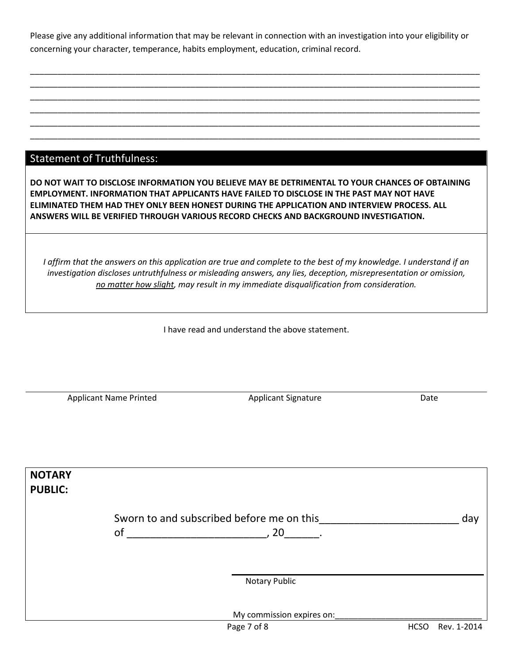Please give any additional information that may be relevant in connection with an investigation into your eligibility or concerning your character, temperance, habits employment, education, criminal record.

\_\_\_\_\_\_\_\_\_\_\_\_\_\_\_\_\_\_\_\_\_\_\_\_\_\_\_\_\_\_\_\_\_\_\_\_\_\_\_\_\_\_\_\_\_\_\_\_\_\_\_\_\_\_\_\_\_\_\_\_\_\_\_\_\_\_\_\_\_\_\_\_\_\_\_\_\_\_\_\_\_\_\_\_\_\_\_\_\_\_\_\_\_\_\_\_\_\_ \_\_\_\_\_\_\_\_\_\_\_\_\_\_\_\_\_\_\_\_\_\_\_\_\_\_\_\_\_\_\_\_\_\_\_\_\_\_\_\_\_\_\_\_\_\_\_\_\_\_\_\_\_\_\_\_\_\_\_\_\_\_\_\_\_\_\_\_\_\_\_\_\_\_\_\_\_\_\_\_\_\_\_\_\_\_\_\_\_\_\_\_\_\_\_\_\_\_ \_\_\_\_\_\_\_\_\_\_\_\_\_\_\_\_\_\_\_\_\_\_\_\_\_\_\_\_\_\_\_\_\_\_\_\_\_\_\_\_\_\_\_\_\_\_\_\_\_\_\_\_\_\_\_\_\_\_\_\_\_\_\_\_\_\_\_\_\_\_\_\_\_\_\_\_\_\_\_\_\_\_\_\_\_\_\_\_\_\_\_\_\_\_\_\_\_\_ \_\_\_\_\_\_\_\_\_\_\_\_\_\_\_\_\_\_\_\_\_\_\_\_\_\_\_\_\_\_\_\_\_\_\_\_\_\_\_\_\_\_\_\_\_\_\_\_\_\_\_\_\_\_\_\_\_\_\_\_\_\_\_\_\_\_\_\_\_\_\_\_\_\_\_\_\_\_\_\_\_\_\_\_\_\_\_\_\_\_\_\_\_\_\_\_\_\_

\_\_\_\_\_\_\_\_\_\_\_\_\_\_\_\_\_\_\_\_\_\_\_\_\_\_\_\_\_\_\_\_\_\_\_\_\_\_\_\_\_\_\_\_\_\_\_\_\_\_\_\_\_\_\_\_\_\_\_\_\_\_\_\_\_\_\_\_\_\_\_\_\_\_\_\_\_\_\_\_\_\_\_\_\_\_\_\_\_\_\_\_\_\_\_\_\_\_

## Statement of Truthfulness:

DO NOT WAIT TO DISCLOSE INFORMATION YOU BELIEVE MAY BE DETRIMENTAL TO YOUR CHANCES OF OBTAINING EMPLOYMENT. INFORMATION THAT APPLICANTS HAVE FAILED TO DISCLOSE IN THE PAST MAY NOT HAVE ELIMINATED THEM HAD THEY ONLY BEEN HONEST DURING THE APPLICATION AND INTERVIEW PROCESS. ALL ANSWERS WILL BE VERIFIED THROUGH VARIOUS RECORD CHECKS AND BACKGROUND INVESTIGATION.

I affirm that the answers on this application are true and complete to the best of my knowledge. I understand if an investigation discloses untruthfulness or misleading answers, any lies, deception, misrepresentation or omission, no matter how slight, may result in my immediate disqualification from consideration.

I have read and understand the above statement.

Applicant Name Printed **Applicant Signature** Applicant Signature Date

| <b>NOTARY</b><br><b>PUBLIC:</b> |                                                         |                            |     |
|---------------------------------|---------------------------------------------------------|----------------------------|-----|
|                                 | Sworn to and subscribed before me on this<br>of<br>, 20 |                            | day |
|                                 |                                                         |                            |     |
|                                 | Notary Public                                           |                            |     |
|                                 | My commission expires on:                               |                            |     |
|                                 | Page 7 of 8                                             | <b>HCSO</b><br>Rev. 1-2014 |     |